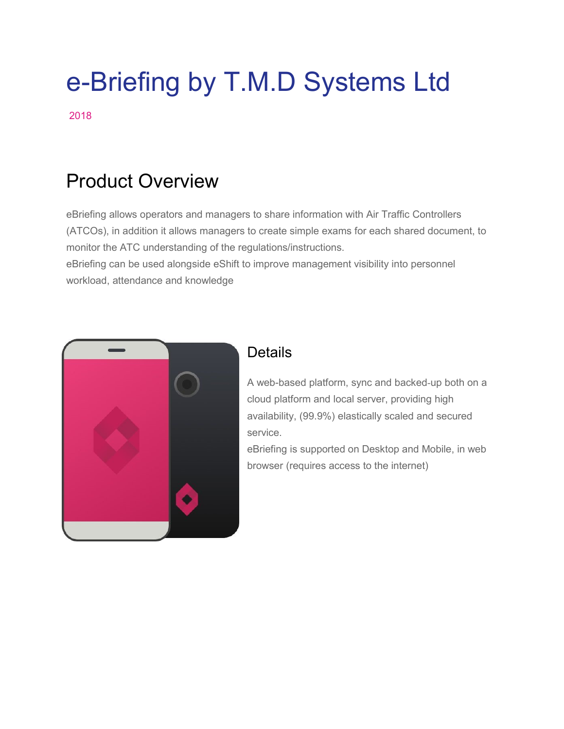# e-Briefing by T.M.D Systems Ltd

2018

# Product Overview

eBriefing allows operators and managers to share information with Air Traffic Controllers (ATCOs), in addition it allows managers to create simple exams for each shared document, to monitor the ATC understanding of the regulations/instructions. eBriefing can be used alongside eShift to improve management visibility into personnel workload, attendance and knowledge



## **Details**

A web-based platform, sync and backed-up both on a cloud platform and local server, providing high availability, (99.9%) elastically scaled and secured service.

eBriefing is supported on Desktop and Mobile, in web browser (requires access to the internet)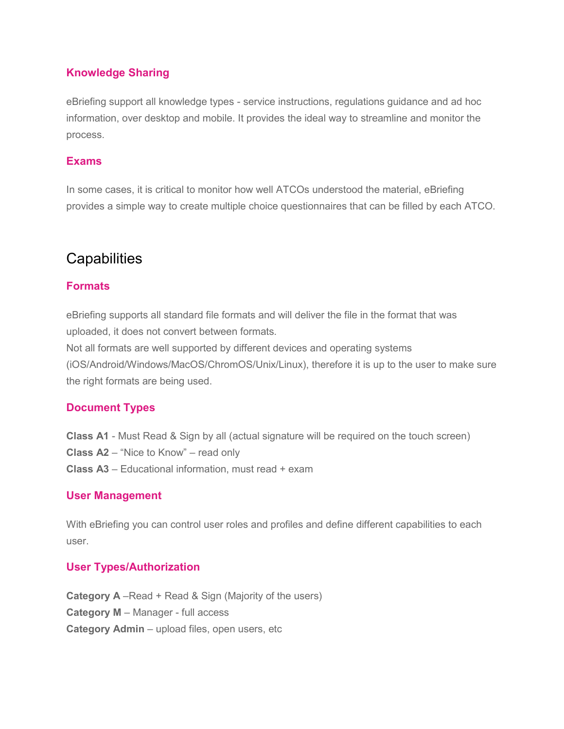#### **Knowledge Sharing**

eBriefing support all knowledge types - service instructions, regulations guidance and ad hoc information, over desktop and mobile. It provides the ideal way to streamline and monitor the process.

#### **Exams**

In some cases, it is critical to monitor how well ATCOs understood the material, eBriefing provides a simple way to create multiple choice questionnaires that can be filled by each ATCO.

## **Capabilities**

#### **Formats**

eBriefing supports all standard file formats and will deliver the file in the format that was uploaded, it does not convert between formats.

Not all formats are well supported by different devices and operating systems

(iOS/Android/Windows/MacOS/ChromOS/Unix/Linux), therefore it is up to the user to make sure the right formats are being used.

#### **Document Types**

**Class A1** - Must Read & Sign by all (actual signature will be required on the touch screen)

**Class A2** – "Nice to Know" – read only

**Class A3** – Educational information, must read + exam

#### **User Management**

With eBriefing you can control user roles and profiles and define different capabilities to each user.

#### **User Types/Authorization**

**Category A** –Read + Read & Sign (Majority of the users) **Category M** – Manager - full access **Category Admin** – upload files, open users, etc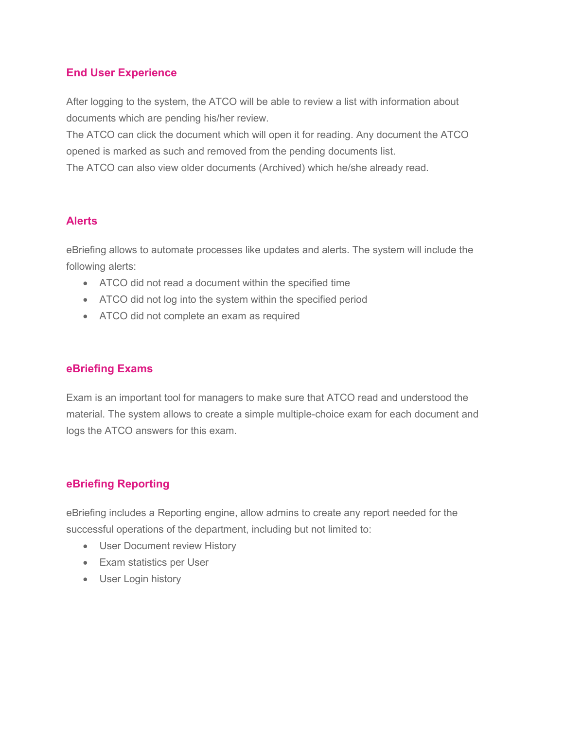#### **End User Experience**

After logging to the system, the ATCO will be able to review a list with information about documents which are pending his/her review.

The ATCO can click the document which will open it for reading. Any document the ATCO opened is marked as such and removed from the pending documents list.

The ATCO can also view older documents (Archived) which he/she already read.

#### **Alerts**

eBriefing allows to automate processes like updates and alerts. The system will include the following alerts:

- ATCO did not read a document within the specified time
- ATCO did not log into the system within the specified period
- ATCO did not complete an exam as required

#### **eBriefing Exams**

Exam is an important tool for managers to make sure that ATCO read and understood the material. The system allows to create a simple multiple-choice exam for each document and logs the ATCO answers for this exam.

#### **eBriefing Reporting**

eBriefing includes a Reporting engine, allow admins to create any report needed for the successful operations of the department, including but not limited to:

- User Document review History
- Exam statistics per User
- User Login history